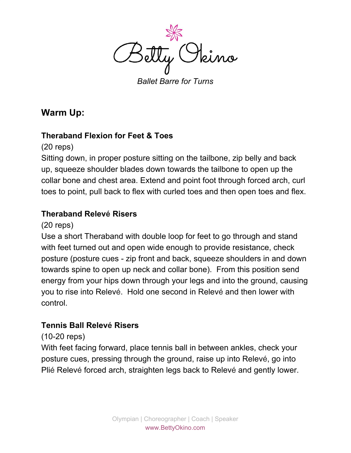

*Ballet Barre for Turns*

# **Warm Up:**

#### **Theraband Flexion for Feet & Toes**

(20 reps)

Sitting down, in proper posture sitting on the tailbone, zip belly and back up, squeeze shoulder blades down towards the tailbone to open up the collar bone and chest area. Extend and point foot through forced arch, curl toes to point, pull back to flex with curled toes and then open toes and flex.

#### **Theraband Relevé Risers**

#### (20 reps)

Use a short Theraband with double loop for feet to go through and stand with feet turned out and open wide enough to provide resistance, check posture (posture cues - zip front and back, squeeze shoulders in and down towards spine to open up neck and collar bone). From this position send energy from your hips down through your legs and into the ground, causing you to rise into Relevé. Hold one second in Relevé and then lower with control.

#### **Tennis Ball Relevé Risers**

#### (10-20 reps)

With feet facing forward, place tennis ball in between ankles, check your posture cues, pressing through the ground, raise up into Relevé, go into Plié Relevé forced arch, straighten legs back to Relevé and gently lower.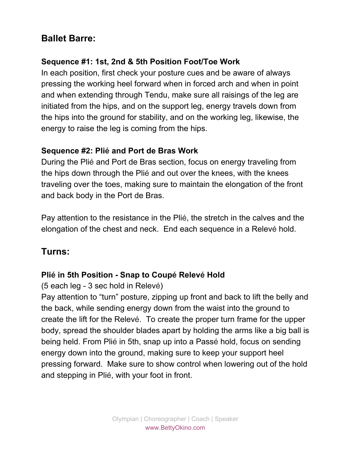# **Ballet Barre:**

### **Sequence #1: 1st, 2nd & 5th Position Foot/Toe Work**

In each position, first check your posture cues and be aware of always pressing the working heel forward when in forced arch and when in point and when extending through Tendu, make sure all raisings of the leg are initiated from the hips, and on the support leg, energy travels down from the hips into the ground for stability, and on the working leg, likewise, the energy to raise the leg is coming from the hips.

#### **Sequence #2: Plié and Port de Bras Work**

During the Plié and Port de Bras section, focus on energy traveling from the hips down through the Plié and out over the knees, with the knees traveling over the toes, making sure to maintain the elongation of the front and back body in the Port de Bras.

Pay attention to the resistance in the Plié, the stretch in the calves and the elongation of the chest and neck. End each sequence in a Relevé hold.

# **Turns:**

### **Plié in 5th Position - Snap to Coupé Relevé Hold**

(5 each leg - 3 sec hold in Relevé)

Pay attention to "turn" posture, zipping up front and back to lift the belly and the back, while sending energy down from the waist into the ground to create the lift for the Relevé. To create the proper turn frame for the upper body, spread the shoulder blades apart by holding the arms like a big ball is being held. From Plié in 5th, snap up into a Passé hold, focus on sending energy down into the ground, making sure to keep your support heel pressing forward. Make sure to show control when lowering out of the hold and stepping in Plié, with your foot in front.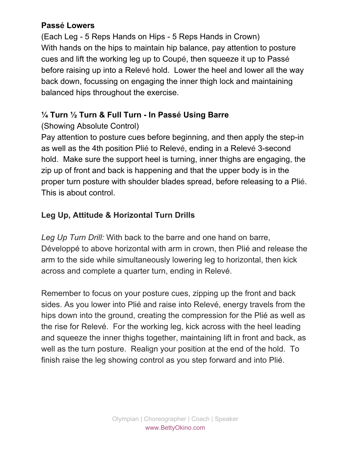### **Passé Lowers**

(Each Leg - 5 Reps Hands on Hips - 5 Reps Hands in Crown) With hands on the hips to maintain hip balance, pay attention to posture cues and lift the working leg up to Coupé, then squeeze it up to Passé before raising up into a Relevé hold. Lower the heel and lower all the way back down, focussing on engaging the inner thigh lock and maintaining balanced hips throughout the exercise.

### **¼ Turn ½ Turn & Full Turn - In Passé Using Barre**

## (Showing Absolute Control)

Pay attention to posture cues before beginning, and then apply the step-in as well as the 4th position Plié to Relevé, ending in a Relevé 3-second hold. Make sure the support heel is turning, inner thighs are engaging, the zip up of front and back is happening and that the upper body is in the proper turn posture with shoulder blades spread, before releasing to a Plié. This is about control.

## **Leg Up, Attitude & Horizontal Turn Drills**

*Leg Up Turn Drill:* With back to the barre and one hand on barre, Développé to above horizontal with arm in crown, then Plié and release the arm to the side while simultaneously lowering leg to horizontal, then kick across and complete a quarter turn, ending in Relevé.

Remember to focus on your posture cues, zipping up the front and back sides. As you lower into Plié and raise into Relevé, energy travels from the hips down into the ground, creating the compression for the Plié as well as the rise for Relevé. For the working leg, kick across with the heel leading and squeeze the inner thighs together, maintaining lift in front and back, as well as the turn posture. Realign your position at the end of the hold. To finish raise the leg showing control as you step forward and into Plié.